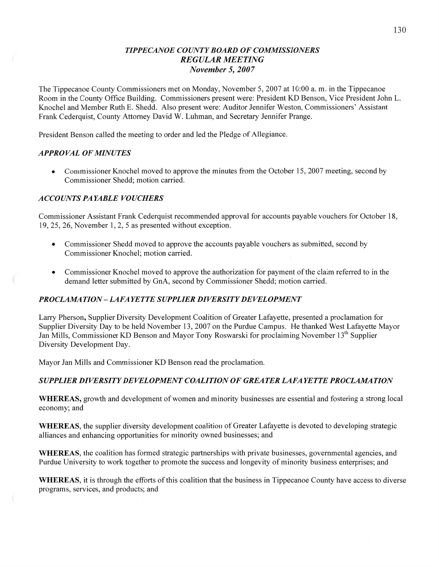# *TIPPECANOE COUNTY BOARD* OF *COMMISSIONERS REGULAR MEETING November* 5, *2007*

The Tippecanoe County Commissioners met on Monday, November 5, 2007 at 10:00 a. m. in the Tippecanoe Room in the County Office Building. Commissioners present were: President KD Benson, Vice President John L. Knochel and Member Ruth B. Shedd. Also present were: Auditor Jennifer Weston, Commissioners' Assistant Frank Cederquist, County Attorney David W. Luhman, and Secretary Jennifer Prange.

**1** President Benson called the meeting to order and led the Pledge of Allegiance.

#### *APPRO* VAL OF *MINUTES*

• Commissioner Knochel moved to approve the minutes from the October 15, 2007 meeting, second by Commissioner Shedd; motion carried.

## *ACCOUNTS* PA *YABLE VOUCHERS*

Commissioner Assistant Frank Cederquist recommended approval for accounts payable vouchers for October 18, 19, 25, 26, November 1, 2, 5 as presented without exception.

- Commissioner Shedd moved to approve the accounts payable vouchers as submitted, second by Commissioner Knochel; motion carried.
- **0** Commissioner Knochel moved to approve the authorization for payment of the claim referred to in the demand letter submitted by GnA, second by Commissioner Shedd; motion carried.

# **PROCLAMATION – LAFAYETTE SUPPLIER DIVERSITY DEVELOPMENT**

Larry Pherson, Supplier Diversity Development Coalition of Greater Lafayette, presented a proclamation for Supplier Diversity Day to be held November 13, 2007 on the Purdue Campus. He thanked West Lafayette Mayor Jan Mills, Commissioner KD Benson and Mayor Tony Roswarski for proclaiming November 13<sup>th</sup> Supplier Diversity Development Day.

Mayor Jan Mills and Commissioner KD Benson read the proclamation.

# *SUPPLIER DIVERSITY* DE *VELOPMENT COALITION* 0F *GREATER LAFA* YE *T T E PROCLAZWA T* ION

**WHEREAS,** growth and development of women and minority businesses are essential and fostering a strong local economy; and

**WHEREAS,** the supplier diversity development coalition of Greater Lafayette is devoted to developing strategic alliances and enhancing opportunities for minority owned businesses; and

**WHEREAS,** the coalition has formed strategic partnerships with private businesses, governmental agencies, and Purdue University to work together to promote the success and longevity of minority business enterprises; and

**WHEREAS,** it is through the efforts of this coalition that the business in Tippecanoe County have access to diverse programs, services, and products; and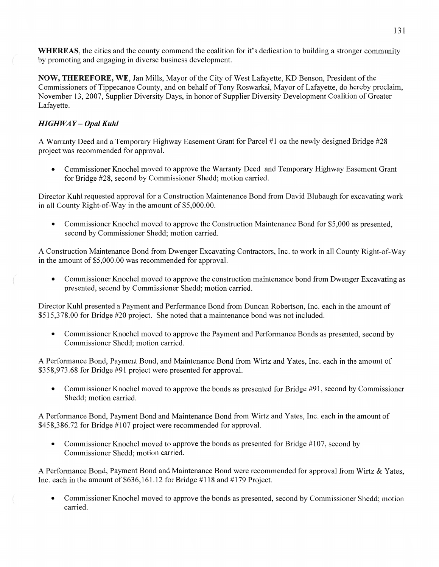**WHEREAS,** the cities and the county commend the coalition for it's dedication to building **a** stronger community by promoting and engaging in diverse business development.

**NOW, THEREFORE,** WE, Jan Mills, Mayor of the City of West Lafayette, KD Benson, President of the Commissioners of Tippecanoe County, and on behalf of Tony Roswarksi, Mayor of Lafayette, do hereby proclaim, November 13, 2007, Supplier Diversity Days, in honor of Supplier Diversity Development Coalition of Greater Lafayette.

# *HIGH* WA *Y* — *Opal Kuhl*

**A** Warranty Deed and a Temporary Highway Easement Grant for Parcel #1 on the newly designed Bridge #28 project was recommended for approval.

*0* Commissioner Knochel moved to approve the Warranty Deed and Temporary Highway Easement Grant for Bridge #28, second by Commissioner Shedd; motion carried.

Director Kuhl requested approval for a Construction Maintenance Bond from David Blubaugh for excavating work in all County Right-of—Way in the amount of \$5,000.00.

• Commissioner Knochel moved to approve the Construction Maintenance Bond for \$5,000 as presented, second by Commissioner Shedd; motion carried.

**A** Construction Maintenance Bond from Dwenger Excavating Contractors, Inc. to work in all County Right-of-Way in the amount of \$5,000.00 was recommended for approval.

**0** Commissioner Knochel moved to approve the construction maintenance bond from Dwenger Excavating as presented, second by Commissioner Shedd; motion carried.

Director Kuhl presented a Payment and Performance Bond from Duncan Robertson, Inc. each in the amount of \$515,378.00 for Bridge #20 project. She noted that **a** maintenance bond was not included.

**0** Commissioner Knochel moved to approve the Payment and Performance Bonds as presented, second by Commissioner Shedd; motion carried.

**A** Performance Bond, Payment Bond, and Maintenance Bond from Wirtz and Yates, Inc. each in the amount of \$358,973 .68 for Bridge #91 project were presented for approval.

• Commissioner Knochel moved to approve the bonds as presented for Bridge #91, second by Commissioner Shedd; motion carried.

**A** Performance Bond, Payment Bond and Maintenance Bond from Wirtz and Yates, Inc. each in the amount of \$458,386.72 for Bridge #107 project were recommended for approval.

• Commissioner Knochel moved to approve the bonds as presented for Bridge #107, second by Commissioner Shedd; motion carried.

**A** Performance Bond, Payment Bond and Maintenance Bond were recommended for approval from Wirtz & Yates, Inc. each in the amount of  $$636,161.12$  for Bridge #118 and #179 Project.

**0** Commissioner Knochel moved to approve the bonds as presented, second by Commissioner Shedd; motion carried.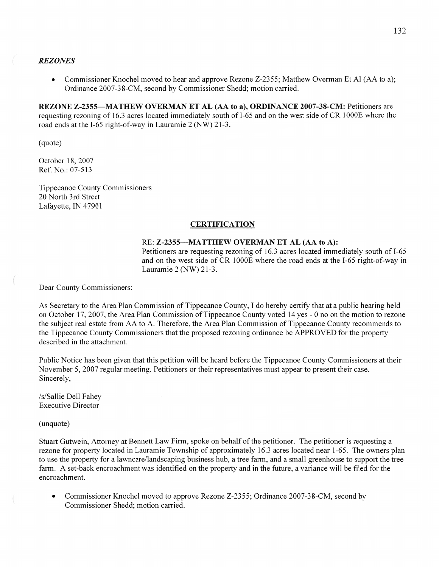#### REZ *ONES*

• Commissioner Knochel moved to hear and approve Rezone Z-2355; Matthew Overman Et Al (AA to a); Ordinance 2007-38-CM, second by Commissioner Shedd; motion carried.

**REZONE Z—2355—MATHEW OVERMAN** ET AL (AA to a), **ORDINANCE 2007-38-CM:** Petitioners are requesting rezoning of 16.3 acres located immediately south of I-65 and on the west side of CR 1000E where the road ends at the I-65 right-of-way in Lauramie 2 (NW) 21-3.

(quote)

 $\left(\begin{array}{c} \end{array}\right)$ 

October 18, 2007 Ref. No.: 07-513

Tippecanoe County Commissioners 20 North 3rd Street Lafayette, IN 47901

#### **CERTIFICATION**

#### RE: **Z—2355—MATTHEW OVERMAN** ET AL (AA to A):

Petitioners are requesting rezoning of 16.3 acres located immediately south of I-65 and on the west side of CR 1000E where the road ends at the I-65 right-of-way in Lauramie 2 (NW) **21—3.** 

Dear County Commissioners:

As Secretary to the Area Plan Commission of Tippecanoe County, I do hereby certify that at a public hearing held on October 17, 2007, the Area Plan Commission of Tippecanoe County voted 14 yes *-* 0 no on the motion to rezone the subject real estate from AA to A. Therefore, the Area Plan Commission of Tippecanoe County recommends to the Tippecanoe County Commissioners that the proposed rezoning ordinance be APPROVED for the property described in the attachment.

Public Notice has been given that this petition will be heard before the Tippecanoe County Commissioners at their November 5, 2007 regular meeting. Petitioners or their representatives must appear to present their case. Sincerely,

/s/Sallie Dell Fahey Executive Director

(unquote)

Stuart Gutwein, Attorney at Bennett Law Firm, spoke on behalf of the petitioner. The petitioner is requesting a rezone for property located in Lauramie Township of approximately 16.3 acres located near 1-65. The owners plan to use the property for a lawncare/landscaping **business** hub, a tree farm, and a small greenhouse to support the tree farm. A set-back encroachment was identified on the property and in the future, a variance will be filed for the encroachment.

**0** Commissioner Knochel moved to approve Rezone Z-2355; Ordinance 2007-38-CM, second by Commissioner Shedd; motion carried.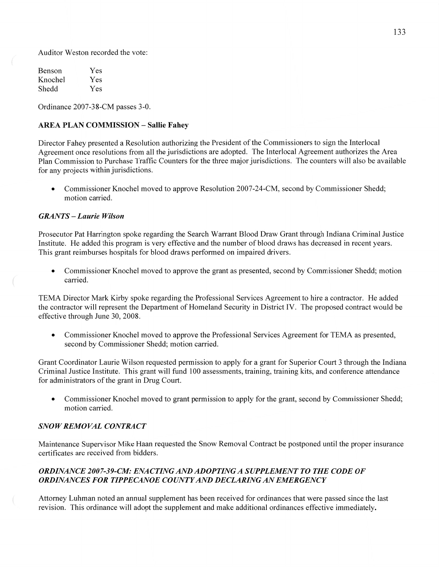Auditor Weston recorded the vote:

| Benson  | Yes |
|---------|-----|
| Knochel | Yes |
| Shedd   | Yes |

Ordinance 2007-38-CM passes 3-0.

## **AREA PLAN COMMISSION — Sallie Fahey**

Director Fahey presented a Resolution authorizing the President of the Commissioners to sign the Interlocal Agreement once resolutions from all the jurisdictions are adopted. The Interlocal Agreement authorizes the Area Plan Commission to Purchase Traffic Counters for the three major jurisdictions. The counters will also be available for any projects within jurisdictions.

**0** Commissioner Knochel moved to approve Resolution 2007-24-CM, second by Commissioner Shedd; motion carried.

#### *GRANTS — Laurie Wilson*

Prosecutor Pat Harrington spoke regarding the Search Warrant Blood Draw Grant through Indiana Criminal Justice Institute. He added this program is very effective and the number of blood draws has decreased in recent years. This grant reimburses hospitals for blood draws performed on impaired drivers.

**0** Commissioner Knochel moved to approve the grant as presented, second by Commissioner Shedd; motion carried.

TEMA Director Mark Kirby spoke regarding the Professional Services Agreement to hire a contractor. He added the contractor will represent the Department of Homeland Security in District IV. The proposed contract would be effective through June 30, 2008.

**0** Commissioner Knochel moved to approve the Professional Services Agreement for TEMA as presented, second by Commissioner Shedd; motion carried.

Grant Coordinator Laurie Wilson requested permission to apply for a grant for Superior Court 3 through the Indiana Criminal Justice Institute. This grant will fund 100 assessments, training, training kits, and conference attendance for administrators of the grant in Drug Court.

**0** Commissioner Knochel moved to grant permission to apply for the grant, second by Commissioner Shedd; motion carried.

## *SNOWREMOVAL CONTRACT*

Maintenance Supervisor Mike Haan requested the Snow Removal Contract be postponed until the proper insurance certificates are received from bidders.

#### *ORDINANCE 2007-39—CM: ENACTING* AND *ADOPT INGA SUPPLEMENT* TO THE *CODE* OF *ORDINANCES* FOR *T IPPE CANOE COUNTY* AND *DECLARING* AN *EMERGENCY*

Attorney Luhman noted an annual supplement has been received for ordinances that were passed since the last revision. This ordinance will adopt the supplement and make additional ordinances effective immediately.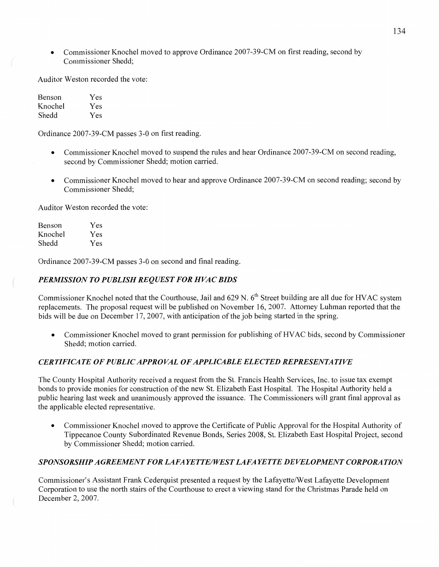**0** Commissioner Knochel moved to approve Ordinance 2007—39-CM on first reading, second by Commissioner Shedd;

Auditor Weston recorded the vote:

Benson Yes Knochel Yes Shedd Yes

Ordinance 2007—39-CM passes 3-0 on first reading.

- Commissioner Knochel moved to suspend the rules and hear Ordinance 2007-39-CM on second reading, second by Commissioner Shedd; motion carried.
- **0** Commissioner Knochel moved to hear and approve Ordinance 2007-39-CM on second reading; second by Commissioner Shedd;

Auditor Weston recorded the vote:

| Benson  | Yes |
|---------|-----|
| Knochel | Yes |
| Shedd   | Yes |

Ordinance 2007-39-CM passes 3—0 on second and final reading.

## *PERMISSION* TO *PUBLISH REQUEST* FOR *HVAC BIDS*

Commissioner Knochel noted that the Courthouse, Jail and 629 N. 6<sup>th</sup> Street building are all due for HVAC system replacements. The proposal request will be published on November 16, 2007. Attorney Luhman reponed that the bids will be due on December 17, 2007, with anticipation of the job being started in the spring.

**0** Commissioner Knochel moved to grant permission for publishing of **HVAC** bids, second by Commissioner Shedd; motion carried.

#### *CERTIFICATE* OF *PUBLIC APPROVAL* OF *APPLICABLE ELECTED REPRESENTATIVE*

The County Hospital Authority received a request fiom the St. Francis Health Services, **Inc.** to issue tax exempt bonds to provide monies for construction of the new St. Elizabeth East Hospital. The Hospital Authority held a public hearing last week and unanimously approved the issuance. The Commissioners will grant final approval as the applicable elected representative.

**0** Commissioner Knochel moved to approve the Certificate of Public Approval for the Hospital Authority of Tippecanoe County Subordinated Revenue Bonds, Series 2008, St. Elizabeth East Hospital Project, second by Commissioner Shedd; motion carried.

#### *SPONSORSHIP A GREEMEN T* FOR *LAFA* YE *TTE/WES T LAFA* YE TTE DE VEL *0PMEN T CORPORA* TI 0N

Commissioner's Assistant Frank Cederquist presented a request by the Lafayette/West Lafayette Development Corporation to use the north stairs of the Courthouse to erect a Viewing stand for the Christmas Parade held on December 2, 2007.